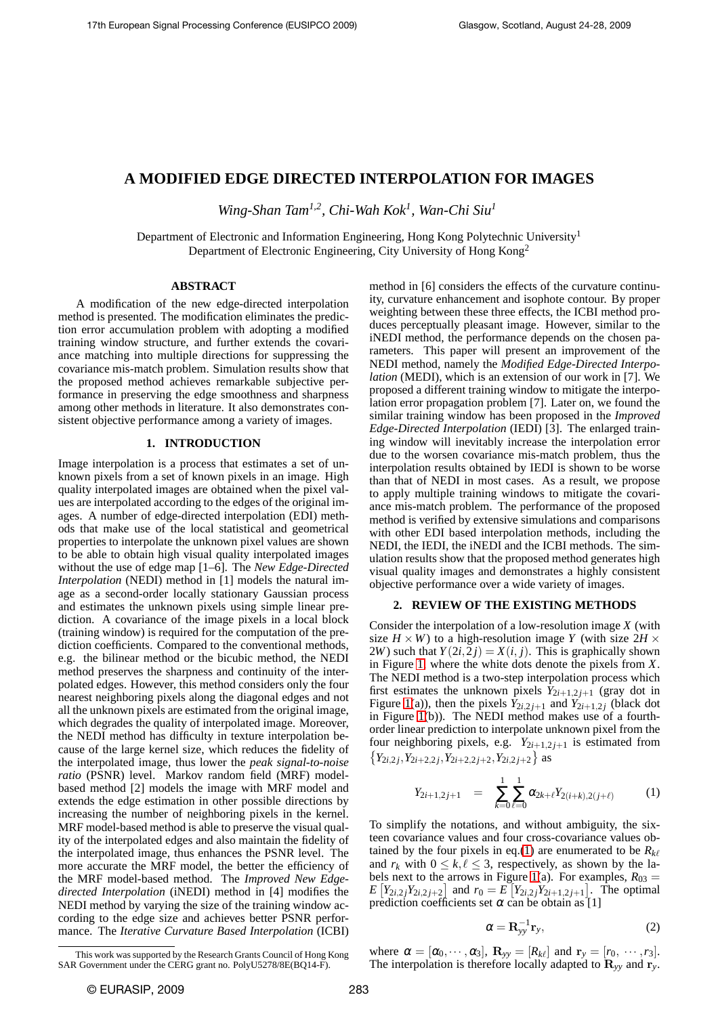# **A MODIFIED EDGE DIRECTED INTERPOLATION FOR IMAGES**

*Wing-Shan Tam1,2, Chi-Wah Kok<sup>1</sup> , Wan-Chi Siu<sup>1</sup>*

Department of Electronic and Information Engineering, Hong Kong Polytechnic University<sup>1</sup> Department of Electronic Engineering, City University of Hong Kong<sup>2</sup>

# **ABSTRACT**

A modification of the new edge-directed interpolation method is presented. The modification eliminates the prediction error accumulation problem with adopting a modified training window structure, and further extends the covariance matching into multiple directions for suppressing the covariance mis-match problem. Simulation results show that the proposed method achieves remarkable subjective performance in preserving the edge smoothness and sharpness among other methods in literature. It also demonstrates consistent objective performance among a variety of images.

# **1. INTRODUCTION**

Image interpolation is a process that estimates a set of unknown pixels from a set of known pixels in an image. High quality interpolated images are obtained when the pixel values are interpolated according to the edges of the original images. A number of edge-directed interpolation (EDI) methods that make use of the local statistical and geometrical properties to interpolate the unknown pixel values are shown to be able to obtain high visual quality interpolated images without the use of edge map [1–6]. The *New Edge-Directed Interpolation* (NEDI) method in [1] models the natural image as a second-order locally stationary Gaussian process and estimates the unknown pixels using simple linear prediction. A covariance of the image pixels in a local block (training window) is required for the computation of the prediction coefficients. Compared to the conventional methods, e.g. the bilinear method or the bicubic method, the NEDI method preserves the sharpness and continuity of the interpolated edges. However, this method considers only the four nearest neighboring pixels along the diagonal edges and not all the unknown pixels are estimated from the original image, which degrades the quality of interpolated image. Moreover, the NEDI method has difficulty in texture interpolation because of the large kernel size, which reduces the fidelity of the interpolated image, thus lower the *peak signal-to-noise ratio* (PSNR) level. Markov random field (MRF) modelbased method [2] models the image with MRF model and extends the edge estimation in other possible directions by increasing the number of neighboring pixels in the kernel. MRF model-based method is able to preserve the visual quality of the interpolated edges and also maintain the fidelity of the interpolated image, thus enhances the PSNR level. The more accurate the MRF model, the better the efficiency of the MRF model-based method. The *Improved New Edgedirected Interpolation* (iNEDI) method in [4] modifies the NEDI method by varying the size of the training window according to the edge size and achieves better PSNR performance. The *Iterative Curvature Based Interpolation* (ICBI) method in [6] considers the effects of the curvature continuity, curvature enhancement and isophote contour. By proper weighting between these three effects, the ICBI method produces perceptually pleasant image. However, similar to the iNEDI method, the performance depends on the chosen parameters. This paper will present an improvement of the NEDI method, namely the *Modified Edge-Directed Interpolation* (MEDI), which is an extension of our work in [7]. We proposed a different training window to mitigate the interpolation error propagation problem [7]. Later on, we found the similar training window has been proposed in the *Improved Edge-Directed Interpolation* (IEDI) [3]. The enlarged training window will inevitably increase the interpolation error due to the worsen covariance mis-match problem, thus the interpolation results obtained by IEDI is shown to be worse than that of NEDI in most cases. As a result, we propose to apply multiple training windows to mitigate the covariance mis-match problem. The performance of the proposed method is verified by extensive simulations and comparisons with other EDI based interpolation methods, including the NEDI, the IEDI, the iNEDI and the ICBI methods. The simulation results show that the proposed method generates high visual quality images and demonstrates a highly consistent objective performance over a wide variety of images.

### **2. REVIEW OF THE EXISTING METHODS**

Consider the interpolation of a low-resolution image *X* (with size  $H \times W$ ) to a high-resolution image *Y* (with size  $2H \times$ 2*W*) such that  $Y(2i,2j) = X(i, j)$ . This is graphically shown in Figure [1,](#page-1-0) where the white dots denote the pixels from *X*. The NEDI method is a two-step interpolation process which first estimates the unknown pixels  $Y_{2i+1,2j+1}$  (gray dot in Figure [1\(](#page-1-0)a)), then the pixels  $Y_{2i,2j+1}$  and  $Y_{2i+1,2j}$  (black dot in Figure [1\(](#page-1-0)b)). The NEDI method makes use of a fourthorder linear prediction to interpolate unknown pixel from the four neighboring pixels, e.g.  $Y_{2i+1,2j+1}$  is estimated from  $\{Y_{2i,2j}, Y_{2i+2,2j}, Y_{2i+2,2j+2}, Y_{2i,2j+2}\}$  as

<span id="page-0-0"></span>
$$
Y_{2i+1,2j+1} = \sum_{k=0}^{1} \sum_{\ell=0}^{1} \alpha_{2k+\ell} Y_{2(i+k),2(j+\ell)} \qquad (1)
$$

To simplify the notations, and without ambiguity, the sixteen covariance values and four cross-covariance values ob-tained by the four pixels in eq.[\(1\)](#page-0-0) are enumerated to be  $R_{k\ell}$ and  $r_k$  with  $0 \leq k, \ell \leq 3$ , respectively, as shown by the la-bels next to the arrows in Figure [1\(](#page-1-0)a). For examples,  $R_{03} =$  $E[Y_{2i,2}Y_{2i,2j+2}]$  and  $r_0 = E[Y_{2i,2}Y_{2i+1,2j+1}]$ . The optimal prediction coefficients set  $\alpha$  can be obtain as [1]

<span id="page-0-1"></span>
$$
\alpha = \mathbf{R}_{yy}^{-1} \mathbf{r}_y,\tag{2}
$$

where  $\alpha = [\alpha_0, \cdots, \alpha_3]$ ,  $\mathbf{R}_{yy} = [R_{k\ell}]$  and  $\mathbf{r}_y = [r_0, \cdots, r_3]$ . The interpolation is therefore locally adapted to  $\mathbf{R}_{yy}$  and  $\mathbf{r}_{y}$ .

This work was supported by the Research Grants Council of Hong Kong SAR Government under the CERG grant no. PolyU5278/8E(BQ14-F).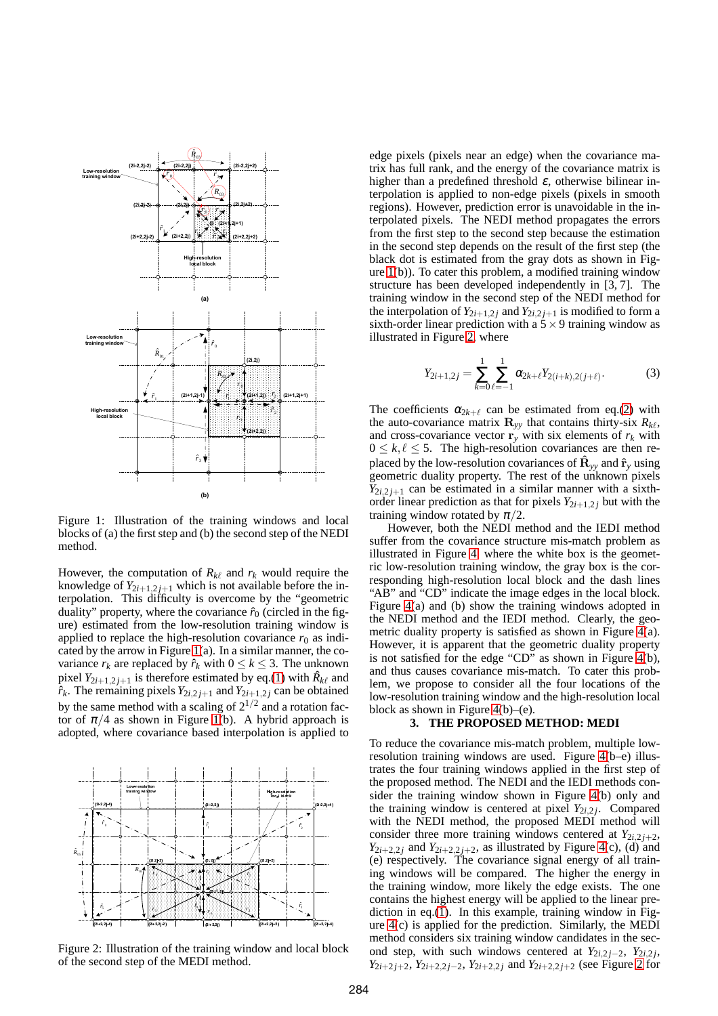

<span id="page-1-0"></span>Figure 1: Illustration of the training windows and local blocks of (a) the first step and (b) the second step of the NEDI method.

However, the computation of  $R_{k\ell}$  and  $r_k$  would require the knowledge of  $Y_{2i+1,2j+1}$  which is not available before the interpolation. This difficulty is overcome by the "geometric duality" property, where the covariance  $\hat{r}_0$  (circled in the figure) estimated from the low-resolution training window is applied to replace the high-resolution covariance  $r_0$  as indi-cated by the arrow in Figure [1\(](#page-1-0)a). In a similar manner, the covariance  $r_k$  are replaced by  $\hat{r}_k$  with  $0 \le k \le 3$ . The unknown pixel  $Y_{2i+1,2j+1}$  is therefore estimated by eq.[\(1\)](#page-0-0) with  $\hat{R}_{k\ell}$  and  $\hat{r}_k$ . The remaining pixels  $Y_{2i,2j+1}$  and  $Y_{2i+1,2j}$  can be obtained by the same method with a scaling of  $2^{1/2}$  and a rotation factor of  $\pi/4$  as shown in Figure [1\(](#page-1-0)b). A hybrid approach is adopted, where covariance based interpolation is applied to



<span id="page-1-1"></span>Figure 2: Illustration of the training window and local block of the second step of the MEDI method.

edge pixels (pixels near an edge) when the covariance matrix has full rank, and the energy of the covariance matrix is higher than a predefined threshold  $\varepsilon$ , otherwise bilinear interpolation is applied to non-edge pixels (pixels in smooth regions). However, prediction error is unavoidable in the interpolated pixels. The NEDI method propagates the errors from the first step to the second step because the estimation in the second step depends on the result of the first step (the black dot is estimated from the gray dots as shown in Figure  $1(b)$ ). To cater this problem, a modified training window structure has been developed independently in [3, 7]. The training window in the second step of the NEDI method for the interpolation of  $Y_{2i+1,2i}$  and  $Y_{2i,2,i+1}$  is modified to form a sixth-order linear prediction with a  $5 \times 9$  training window as illustrated in Figure [2,](#page-1-1) where

$$
Y_{2i+1,2j} = \sum_{k=0}^{1} \sum_{\ell=-1}^{1} \alpha_{2k+\ell} Y_{2(i+k),2(j+\ell)}.
$$
 (3)

The coefficients  $\alpha_{2k+\ell}$  can be estimated from eq.[\(2\)](#page-0-1) with the auto-covariance matrix  $\mathbf{R}_{yy}$  that contains thirty-six  $R_{k\ell}$ , and cross-covariance vector  $\mathbf{r}_y$  with six elements of  $r_k$  with  $0 \leq k, \ell \leq 5$ . The high-resolution covariances are then replaced by the low-resolution covariances of  $\mathbf{\hat{R}}_{yy}$  and  $\mathbf{\hat{r}}_{y}$  using geometric duality property. The rest of the unknown pixels  $Y_{2i,2j+1}$  can be estimated in a similar manner with a sixthorder linear prediction as that for pixels  $Y_{2i+1,2i}$  but with the training window rotated by  $\pi/2$ .

However, both the NEDI method and the IEDI method suffer from the covariance structure mis-match problem as illustrated in Figure [4,](#page-4-0) where the white box is the geometric low-resolution training window, the gray box is the corresponding high-resolution local block and the dash lines "AB" and "CD" indicate the image edges in the local block. Figure [4\(](#page-4-0)a) and (b) show the training windows adopted in the NEDI method and the IEDI method. Clearly, the geometric duality property is satisfied as shown in Figure [4\(](#page-4-0)a). However, it is apparent that the geometric duality property is not satisfied for the edge "CD" as shown in Figure [4\(](#page-4-0)b), and thus causes covariance mis-match. To cater this problem, we propose to consider all the four locations of the low-resolution training window and the high-resolution local block as shown in Figure  $4(b)$ –(e).

## **3. THE PROPOSED METHOD: MEDI**

To reduce the covariance mis-match problem, multiple lowresolution training windows are used. Figure [4\(](#page-4-0)b–e) illustrates the four training windows applied in the first step of the proposed method. The NEDI and the IEDI methods consider the training window shown in Figure [4\(](#page-4-0)b) only and the training window is centered at pixel  $Y_{2i,2j}$ . Compared with the NEDI method, the proposed MEDI method will consider three more training windows centered at  $Y_{2i,2j+2}$ ,  $Y_{2i+2,2j}$  and  $Y_{2i+2,2j+2}$ , as illustrated by Figure [4\(](#page-4-0)c), (d) and (e) respectively. The covariance signal energy of all training windows will be compared. The higher the energy in the training window, more likely the edge exists. The one contains the highest energy will be applied to the linear prediction in eq.[\(1\)](#page-0-0). In this example, training window in Figure [4\(](#page-4-0)c) is applied for the prediction. Similarly, the MEDI method considers six training window candidates in the second step, with such windows centered at  $Y_{2i,2j-2}$ ,  $Y_{2i,2j}$ , *Y*<sub>2*i*+2*j*+2, *Y*<sub>2*i*+2,2*j*−2, *Y*<sub>2*i*+2,2*j*</sub> and *Y*<sub>2*i*+2,2*j*+2 (see Figure [2](#page-1-1) for</sub></sub></sub>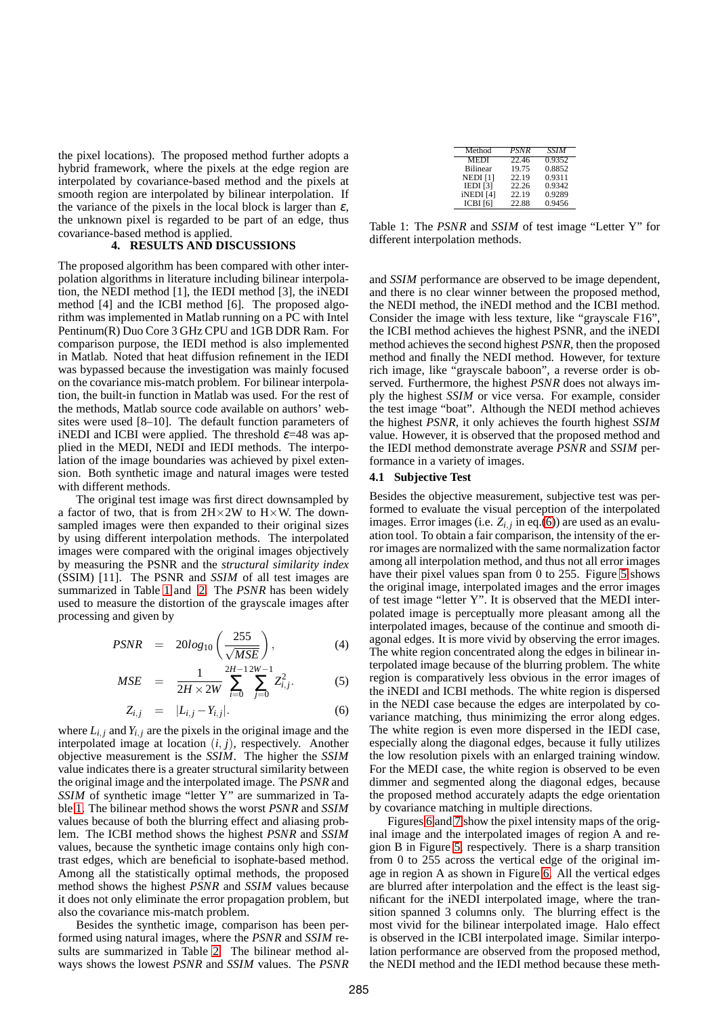the pixel locations). The proposed method further adopts a hybrid framework, where the pixels at the edge region are interpolated by covariance-based method and the pixels at smooth region are interpolated by bilinear interpolation. If the variance of the pixels in the local block is larger than  $\varepsilon$ , the unknown pixel is regarded to be part of an edge, thus covariance-based method is applied.

#### **4. RESULTS AND DISCUSSIONS**

The proposed algorithm has been compared with other interpolation algorithms in literature including bilinear interpolation, the NEDI method [1], the IEDI method [3], the iNEDI method [4] and the ICBI method [6]. The proposed algorithm was implemented in Matlab running on a PC with Intel Pentinum(R) Duo Core 3 GHz CPU and 1GB DDR Ram. For comparison purpose, the IEDI method is also implemented in Matlab. Noted that heat diffusion refinement in the IEDI was bypassed because the investigation was mainly focused on the covariance mis-match problem. For bilinear interpolation, the built-in function in Matlab was used. For the rest of the methods, Matlab source code available on authors' websites were used [8–10]. The default function parameters of iNEDI and ICBI were applied. The threshold  $\varepsilon$ =48 was applied in the MEDI, NEDI and IEDI methods. The interpolation of the image boundaries was achieved by pixel extension. Both synthetic image and natural images were tested with different methods.

The original test image was first direct downsampled by a factor of two, that is from  $2H \times 2W$  to  $H \times W$ . The downsampled images were then expanded to their original sizes by using different interpolation methods. The interpolated images were compared with the original images objectively by measuring the PSNR and the *structural similarity index* (SSIM) [11]. The PSNR and *SSIM* of all test images are summarized in Table [1](#page-2-0) and [2.](#page-3-0) The *PSNR* has been widely used to measure the distortion of the grayscale images after processing and given by

<span id="page-2-1"></span>
$$
PSNR = 20log_{10}\left(\frac{255}{\sqrt{MSE}}\right), \tag{4}
$$

$$
MSE = \frac{1}{2H \times 2W} \sum_{i=0}^{2H-1} \sum_{j=0}^{2W-1} Z_{i,j}^2.
$$
 (5)

$$
Z_{i,j} = |L_{i,j} - Y_{i,j}|.
$$
 (6)

where  $L_{i,j}$  and  $Y_{i,j}$  are the pixels in the original image and the interpolated image at location (*i*, *j*), respectively. Another objective measurement is the *SSIM*. The higher the *SSIM* value indicates there is a greater structural similarity between the original image and the interpolated image. The *PSNR* and *SSIM* of synthetic image "letter Y" are summarized in Table [1.](#page-2-0) The bilinear method shows the worst *PSNR* and *SSIM* values because of both the blurring effect and aliasing problem. The ICBI method shows the highest *PSNR* and *SSIM* values, because the synthetic image contains only high contrast edges, which are beneficial to isophate-based method. Among all the statistically optimal methods, the proposed method shows the highest *PSNR* and *SSIM* values because it does not only eliminate the error propagation problem, but also the covariance mis-match problem.

Besides the synthetic image, comparison has been performed using natural images, where the *PSNR* and *SSIM* results are summarized in Table [2.](#page-3-0) The bilinear method always shows the lowest *PSNR* and *SSIM* values. The *PSNR*

| Method               | <b>PSNR</b> | <b>SSIM</b> |
|----------------------|-------------|-------------|
| <b>MEDI</b>          | 22.46       | 0.9352      |
| <b>Bilinear</b>      | 19.75       | 0.8852      |
| NEDI <sub>[1]</sub>  | 22.19       | 0.9311      |
| IEDI [3]             | 22.26       | 0.9342      |
| iNEDI <sup>[4]</sup> | 22.19       | 0.9289      |
| ICBI[6]              | 22.88       | 0.9456      |

<span id="page-2-0"></span>Table 1: The *PSNR* and *SSIM* of test image "Letter Y" for different interpolation methods.

and *SSIM* performance are observed to be image dependent, and there is no clear winner between the proposed method, the NEDI method, the iNEDI method and the ICBI method. Consider the image with less texture, like "grayscale F16", the ICBI method achieves the highest PSNR, and the iNEDI method achieves the second highest *PSNR*, then the proposed method and finally the NEDI method. However, for texture rich image, like "grayscale baboon", a reverse order is observed. Furthermore, the highest *PSNR* does not always imply the highest *SSIM* or vice versa. For example, consider the test image "boat". Although the NEDI method achieves the highest *PSNR*, it only achieves the fourth highest *SSIM* value. However, it is observed that the proposed method and the IEDI method demonstrate average *PSNR* and *SSIM* performance in a variety of images.

#### **4.1 Subjective Test**

Besides the objective measurement, subjective test was performed to evaluate the visual perception of the interpolated images. Error images (i.e.  $Z_{i,j}$  in eq.[\(6\)](#page-2-1)) are used as an evaluation tool. To obtain a fair comparison, the intensity of the error images are normalized with the same normalization factor among all interpolation method, and thus not all error images have their pixel values span from 0 to 255. Figure [5](#page-4-1) shows the original image, interpolated images and the error images of test image "letter Y". It is observed that the MEDI interpolated image is perceptually more pleasant among all the interpolated images, because of the continue and smooth diagonal edges. It is more vivid by observing the error images. The white region concentrated along the edges in bilinear interpolated image because of the blurring problem. The white region is comparatively less obvious in the error images of the iNEDI and ICBI methods. The white region is dispersed in the NEDI case because the edges are interpolated by covariance matching, thus minimizing the error along edges. The white region is even more dispersed in the IEDI case, especially along the diagonal edges, because it fully utilizes the low resolution pixels with an enlarged training window. For the MEDI case, the white region is observed to be even dimmer and segmented along the diagonal edges, because the proposed method accurately adapts the edge orientation by covariance matching in multiple directions.

Figures [6](#page-4-2) and [7](#page-4-3) show the pixel intensity maps of the original image and the interpolated images of region A and region B in Figure [5,](#page-4-1) respectively. There is a sharp transition from 0 to 255 across the vertical edge of the original image in region A as shown in Figure [6.](#page-4-2) All the vertical edges are blurred after interpolation and the effect is the least significant for the iNEDI interpolated image, where the transition spanned 3 columns only. The blurring effect is the most vivid for the bilinear interpolated image. Halo effect is observed in the ICBI interpolated image. Similar interpolation performance are observed from the proposed method, the NEDI method and the IEDI method because these meth-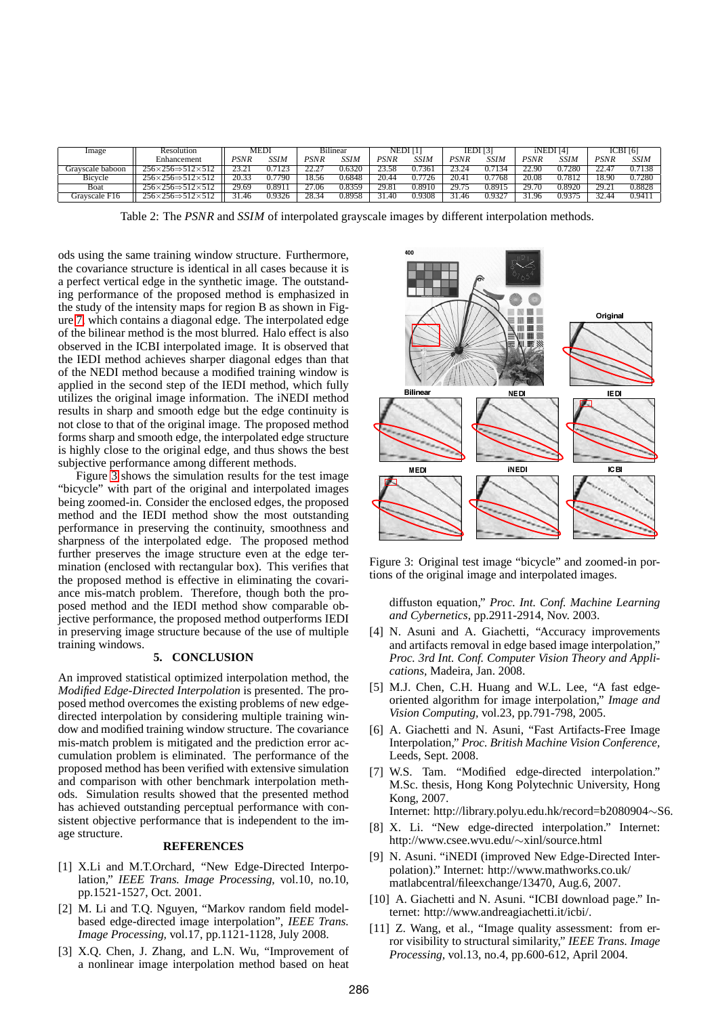| Image            | Resolution                                  | <b>MEDI</b> |             | <b>Bilinear</b> |             | NEDI [1]     |             | $IEDI$ <sup>[3]</sup> |        | iNEDI <sup>[4]</sup> |               | ICBI[6] |        |
|------------------|---------------------------------------------|-------------|-------------|-----------------|-------------|--------------|-------------|-----------------------|--------|----------------------|---------------|---------|--------|
|                  | Enhancement                                 | PSNR        | <b>SSIM</b> | PSNR            | <b>SSIM</b> | PSNR         | <b>SSIM</b> | PSNR                  | SSIM   | PSNR                 | SSIM          | PSNR    | SSIM   |
| Gravscale baboon | 256×256⇒512×512                             |             |             |                 | 0.6320      |              | 7361        |                       | 27134  | 22 QC                | 17280         |         | 0.7138 |
| Bicvcle          | 256×256⇒512×512                             | 20.33       | .7790       | 18.56           | 0.6848      | 20.44        | 726         | 20.4.                 | 0.7768 | 20.08                | <b>0.7812</b> | 18.90   | 0.7280 |
| Boat             | $256 \times 256 \Rightarrow 512 \times 512$ | 29.69       | 0.891       | 27.06           | 0.8359      | 29.8         | 0.8910      | 29.75                 | 0.8915 | 29.70                | 2.8920        | 29.21   | 0.8828 |
| Gravscale F16    | $256 \times 256 \Rightarrow 512 \times 512$ | 1.46        | 0.9326      | 28.34           | 0.8958      | $40^{\circ}$ | 0.9308      | .46                   | 0.932  | 31.96                | 0.9375        | 32.44   | 0.9411 |

<span id="page-3-0"></span>Table 2: The *PSNR* and *SSIM* of interpolated grayscale images by different interpolation methods.

ods using the same training window structure. Furthermore, the covariance structure is identical in all cases because it is a perfect vertical edge in the synthetic image. The outstanding performance of the proposed method is emphasized in the study of the intensity maps for region B as shown in Figure [7,](#page-4-3) which contains a diagonal edge. The interpolated edge of the bilinear method is the most blurred. Halo effect is also observed in the ICBI interpolated image. It is observed that the IEDI method achieves sharper diagonal edges than that of the NEDI method because a modified training window is applied in the second step of the IEDI method, which fully utilizes the original image information. The iNEDI method results in sharp and smooth edge but the edge continuity is not close to that of the original image. The proposed method forms sharp and smooth edge, the interpolated edge structure is highly close to the original edge, and thus shows the best subjective performance among different methods.

Figure [3](#page-3-1) shows the simulation results for the test image "bicycle" with part of the original and interpolated images being zoomed-in. Consider the enclosed edges, the proposed method and the IEDI method show the most outstanding performance in preserving the continuity, smoothness and sharpness of the interpolated edge. The proposed method further preserves the image structure even at the edge termination (enclosed with rectangular box). This verifies that the proposed method is effective in eliminating the covariance mis-match problem. Therefore, though both the proposed method and the IEDI method show comparable objective performance, the proposed method outperforms IEDI in preserving image structure because of the use of multiple training windows.

# **5. CONCLUSION**

An improved statistical optimized interpolation method, the *Modified Edge-Directed Interpolation* is presented. The proposed method overcomes the existing problems of new edgedirected interpolation by considering multiple training window and modified training window structure. The covariance mis-match problem is mitigated and the prediction error accumulation problem is eliminated. The performance of the proposed method has been verified with extensive simulation and comparison with other benchmark interpolation methods. Simulation results showed that the presented method has achieved outstanding perceptual performance with consistent objective performance that is independent to the image structure.

## **REFERENCES**

- [1] X.Li and M.T.Orchard, "New Edge-Directed Interpolation," *IEEE Trans. Image Processing,* vol.10, no.10, pp.1521-1527, Oct. 2001.
- [2] M. Li and T.Q. Nguyen, "Markov random field modelbased edge-directed image interpolation", *IEEE Trans. Image Processing,* vol.17, pp.1121-1128, July 2008.
- [3] X.Q. Chen, J. Zhang, and L.N. Wu, "Improvement of a nonlinear image interpolation method based on heat



Figure 3: Original test image "bicycle" and zoomed-in portions of the original image and interpolated images.

<span id="page-3-1"></span>diffuston equation," *Proc. Int. Conf. Machine Learning and Cybernetics*, pp.2911-2914, Nov. 2003.

- [4] N. Asuni and A. Giachetti, "Accuracy improvements and artifacts removal in edge based image interpolation," *Proc. 3rd Int. Conf. Computer Vision Theory and Applications,* Madeira, Jan. 2008.
- [5] M.J. Chen, C.H. Huang and W.L. Lee, "A fast edgeoriented algorithm for image interpolation," *Image and Vision Computing,* vol.23, pp.791-798, 2005.
- [6] A. Giachetti and N. Asuni, "Fast Artifacts-Free Image Interpolation," *Proc. British Machine Vision Conference,* Leeds, Sept. 2008.
- [7] W.S. Tam. "Modified edge-directed interpolation." M.Sc. thesis, Hong Kong Polytechnic University, Hong Kong, 2007.

Internet: http://library.polyu.edu.hk/record=b2080904∼S6.

- [8] X. Li. "New edge-directed interpolation." Internet: http://www.csee.wvu.edu/∼xinl/source.html
- [9] N. Asuni. "iNEDI (improved New Edge-Directed Interpolation)." Internet: http://www.mathworks.co.uk/ matlabcentral/fileexchange/13470, Aug.6, 2007.
- [10] A. Giachetti and N. Asuni. "ICBI download page." Internet: http://www.andreagiachetti.it/icbi/.
- [11] Z. Wang, et al., "Image quality assessment: from error visibility to structural similarity," *IEEE Trans. Image Processing,* vol.13, no.4, pp.600-612, April 2004.